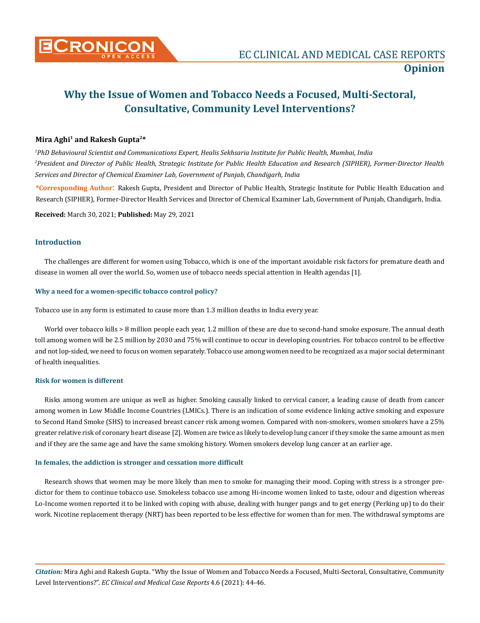

# **Why the Issue of Women and Tobacco Needs a Focused, Multi-Sectoral, Consultative, Community Level Interventions?**

# **Mira Aghi1 and Rakesh Gupta2\***

*1 PhD Behavioural Scientist and Communications Expert, Healis Sekhsaria Institute for Public Health, Mumbai, India 2 President and Director of Public Health, Strategic Institute for Public Health Education and Research (SIPHER), Former-Director Health Services and Director of Chemical Examiner Lab, Government of Punjab, Chandigarh, India*

**\*Corresponding Author**: Rakesh Gupta, President and Director of Public Health, Strategic Institute for Public Health Education and Research (SIPHER), Former-Director Health Services and Director of Chemical Examiner Lab, Government of Punjab, Chandigarh, India.

**Received:** March 30, 2021; **Published:** May 29, 2021

## **Introduction**

The challenges are different for women using Tobacco, which is one of the important avoidable risk factors for premature death and disease in women all over the world. So, women use of tobacco needs special attention in Health agendas [1].

## **Why a need for a women-specific tobacco control policy?**

Tobacco use in any form is estimated to cause more than 1.3 million deaths in India every year.

World over tobacco kills > 8 million people each year, 1.2 million of these are due to second-hand smoke exposure. The annual death toll among women will be 2.5 million by 2030 and 75% will continue to occur in developing countries. For tobacco control to be effective and not lop-sided, we need to focus on women separately. Tobacco use among women need to be recognized as a major social determinant of health inequalities.

# **Risk for women is different**

Risks among women are unique as well as higher. Smoking causally linked to cervical cancer, a leading cause of death from cancer among women in Low Middle Income Countries (LMICs.). There is an indication of some evidence linking active smoking and exposure to Second Hand Smoke (SHS) to increased breast cancer risk among women. Compared with non-smokers, women smokers have a 25% greater relative risk of coronary heart disease [2]. Women are twice as likely to develop lung cancer if they smoke the same amount as men and if they are the same age and have the same smoking history. Women smokers develop lung cancer at an earlier age.

### **In females, the addiction is stronger and cessation more difficult**

Research shows that women may be more likely than men to smoke for managing their mood. Coping with stress is a stronger predictor for them to continue tobacco use. Smokeless tobacco use among Hi-income women linked to taste, odour and digestion whereas Lo-Income women reported it to be linked with coping with abuse, dealing with hunger pangs and to get energy (Perking up) to do their work. Nicotine replacement therapy (NRT) has been reported to be less effective for women than for men. The withdrawal symptoms are

*Citation:* Mira Aghi and Rakesh Gupta. "Why the Issue of Women and Tobacco Needs a Focused, Multi-Sectoral, Consultative, Community Level Interventions?". *EC Clinical and Medical Case Reports* 4.6 (2021): 44-46.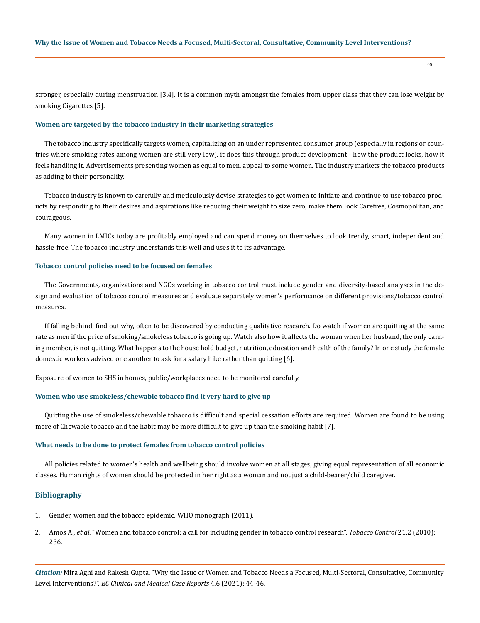stronger, especially during menstruation [3,4]. It is a common myth amongst the females from upper class that they can lose weight by smoking Cigarettes [5].

#### **Women are targeted by the tobacco industry in their marketing strategies**

The tobacco industry specifically targets women, capitalizing on an under represented consumer group (especially in regions or countries where smoking rates among women are still very low). it does this through product development - how the product looks, how it feels handling it. Advertisements presenting women as equal to men, appeal to some women. The industry markets the tobacco products as adding to their personality.

Tobacco industry is known to carefully and meticulously devise strategies to get women to initiate and continue to use tobacco products by responding to their desires and aspirations like reducing their weight to size zero, make them look Carefree, Cosmopolitan, and courageous.

Many women in LMICs today are profitably employed and can spend money on themselves to look trendy, smart, independent and hassle-free. The tobacco industry understands this well and uses it to its advantage.

#### **Tobacco control policies need to be focused on females**

The Governments, organizations and NGOs working in tobacco control must include gender and diversity-based analyses in the design and evaluation of tobacco control measures and evaluate separately women's performance on different provisions/tobacco control measures.

If falling behind, find out why, often to be discovered by conducting qualitative research. Do watch if women are quitting at the same rate as men if the price of smoking/smokeless tobacco is going up. Watch also how it affects the woman when her husband, the only earning member, is not quitting. What happens to the house hold budget, nutrition, education and health of the family? In one study the female domestic workers advised one another to ask for a salary hike rather than quitting [6].

Exposure of women to SHS in homes, public/workplaces need to be monitored carefully.

#### **Women who use smokeless/chewable tobacco find it very hard to give up**

Quitting the use of smokeless/chewable tobacco is difficult and special cessation efforts are required. Women are found to be using more of Chewable tobacco and the habit may be more difficult to give up than the smoking habit [7].

#### **What needs to be done to protect females from tobacco control policies**

All policies related to women's health and wellbeing should involve women at all stages, giving equal representation of all economic classes. Human rights of women should be protected in her right as a woman and not just a child-bearer/child caregiver.

## **Bibliography**

- 1. [Gender, women and the tobacco epidemic, WHO monograph \(2011\).](https://www.who.int/tobacco/publications/gender/women_tob_epidemic/en/)
- 2. Amos A., *et al*[. "Women and tobacco control: a call for including gender in tobacco control research".](https://tobaccocontrol.bmj.com/content/21/2/236) *Tobacco Control* 21.2 (2010): [236.](https://tobaccocontrol.bmj.com/content/21/2/236)

*Citation:* Mira Aghi and Rakesh Gupta. "Why the Issue of Women and Tobacco Needs a Focused, Multi-Sectoral, Consultative, Community Level Interventions?". *EC Clinical and Medical Case Reports* 4.6 (2021): 44-46.

45